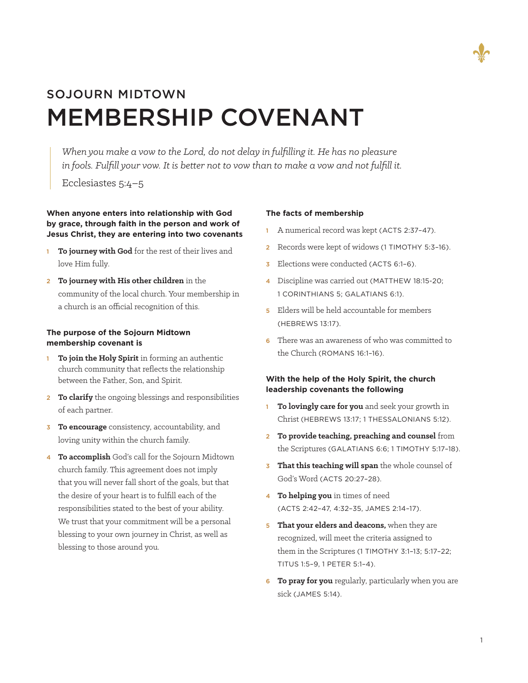

# SOJOURN MIDTOWN MEMBERSHIP COVENANT

*When you make a vow to the Lord, do not delay in fulfilling it. He has no pleasure in fools. Fulfill your vow. It is better not to vow than to make a vow and not fulfill it.*

Ecclesiastes 5:4–5

## **When anyone enters into relationship with God by grace, through faith in the person and work of Jesus Christ, they are entering into two covenants**

- <sup>1</sup> **To journey with God** for the rest of their lives and love Him fully.
- <sup>2</sup> **To journey with His other children** in the community of the local church. Your membership in a church is an official recognition of this.

## **The purpose of the Sojourn Midtown membership covenant is**

- <sup>1</sup> **To join the Holy Spirit** in forming an authentic church community that reflects the relationship between the Father, Son, and Spirit.
- <sup>2</sup> **To clarify** the ongoing blessings and responsibilities of each partner.
- <sup>3</sup> **To encourage** consistency, accountability, and loving unity within the church family.
- <sup>4</sup> **To accomplish** God's call for the Sojourn Midtown church family. This agreement does not imply that you will never fall short of the goals, but that the desire of your heart is to fulfill each of the responsibilities stated to the best of your ability. We trust that your commitment will be a personal blessing to your own journey in Christ, as well as blessing to those around you.

#### **The facts of membership**

- <sup>1</sup> A numerical record was kept (ACTS 2:37–47).
- <sup>2</sup> Records were kept of widows (1 TIMOTHY 5:3–16).
- **3** Elections were conducted (ACTS 6:1-6).
- 4 Discipline was carried out (MATTHEW 18:15-20; 1 CORINTHIANS 5; GALATIANS 6:1).
- 5 Elders will be held accountable for members (HEBREWS 13:17).
- 6 There was an awareness of who was committed to the Church (ROMANS 16:1–16).

# **With the help of the Holy Spirit, the church leadership covenants the following**

- <sup>1</sup> **To lovingly care for you** and seek your growth in Christ (HEBREWS 13:17; 1 THESSALONIANS 5:12).
- <sup>2</sup> **To provide teaching, preaching and counsel** from the Scriptures (GALATIANS 6:6; 1 TIMOTHY 5:17–18).
- <sup>3</sup> **That this teaching will span** the whole counsel of God's Word (ACTS 20:27–28).
- <sup>4</sup> **To helping you** in times of need (ACTS 2:42–47, 4:32–35, JAMES 2:14–17).
- **5 That your elders and deacons,** when they are recognized, will meet the criteria assigned to them in the Scriptures (1 TIMOTHY 3:1–13; 5:17–22; TITUS 1:5–9, 1 PETER 5:1–4).
- <sup>6</sup> **To pray for you** regularly, particularly when you are sick (JAMES 5:14).